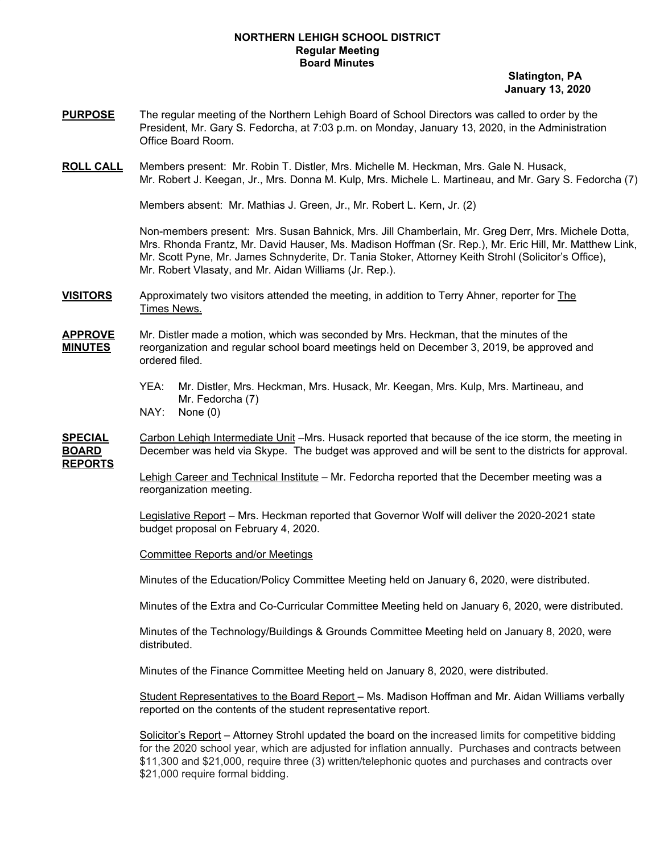## **NORTHERN LEHIGH SCHOOL DISTRICT Regular Meeting Board Minutes**

**Slatington, PA January 13, 2020**

- **PURPOSE** The regular meeting of the Northern Lehigh Board of School Directors was called to order by the President, Mr. Gary S. Fedorcha, at 7:03 p.m. on Monday, January 13, 2020, in the Administration Office Board Room.
- **ROLL CALL** Members present: Mr. Robin T. Distler, Mrs. Michelle M. Heckman, Mrs. Gale N. Husack, Mr. Robert J. Keegan, Jr., Mrs. Donna M. Kulp, Mrs. Michele L. Martineau, and Mr. Gary S. Fedorcha (7)

Members absent: Mr. Mathias J. Green, Jr., Mr. Robert L. Kern, Jr. (2)

Non-members present: Mrs. Susan Bahnick, Mrs. Jill Chamberlain, Mr. Greg Derr, Mrs. Michele Dotta, Mrs. Rhonda Frantz, Mr. David Hauser, Ms. Madison Hoffman (Sr. Rep.), Mr. Eric Hill, Mr. Matthew Link, Mr. Scott Pyne, Mr. James Schnyderite, Dr. Tania Stoker, Attorney Keith Strohl (Solicitor's Office), Mr. Robert Vlasaty, and Mr. Aidan Williams (Jr. Rep.).

**VISITORS** Approximately two visitors attended the meeting, in addition to Terry Ahner, reporter for The Times News.

## **APPROVE** Mr. Distler made a motion, which was seconded by Mrs. Heckman, that the minutes of the **MINUTES** reorganization and regular school board meetings held on December 3, 2019, be approved and ordered filed.

- YEA: Mr. Distler, Mrs. Heckman, Mrs. Husack, Mr. Keegan, Mrs. Kulp, Mrs. Martineau, and Mr. Fedorcha (7)
- NAY: None (0)

**SPECIAL** Carbon Lehigh Intermediate Unit –Mrs. Husack reported that because of the ice storm, the meeting in **BOARD** December was held via Skype. The budget was approved and will be sent to the districts for approval. **REPORTS**

> Lehigh Career and Technical Institute – Mr. Fedorcha reported that the December meeting was a reorganization meeting.

Legislative Report - Mrs. Heckman reported that Governor Wolf will deliver the 2020-2021 state budget proposal on February 4, 2020.

Committee Reports and/or Meetings

Minutes of the Education/Policy Committee Meeting held on January 6, 2020, were distributed.

Minutes of the Extra and Co-Curricular Committee Meeting held on January 6, 2020, were distributed.

Minutes of the Technology/Buildings & Grounds Committee Meeting held on January 8, 2020, were distributed.

Minutes of the Finance Committee Meeting held on January 8, 2020, were distributed.

Student Representatives to the Board Report – Ms. Madison Hoffman and Mr. Aidan Williams verbally reported on the contents of the student representative report.

Solicitor's Report – Attorney Strohl updated the board on the increased limits for competitive bidding for the 2020 school year, which are adjusted for inflation annually. Purchases and contracts between \$11,300 and \$21,000, require three (3) written/telephonic quotes and purchases and contracts over \$21,000 require formal bidding.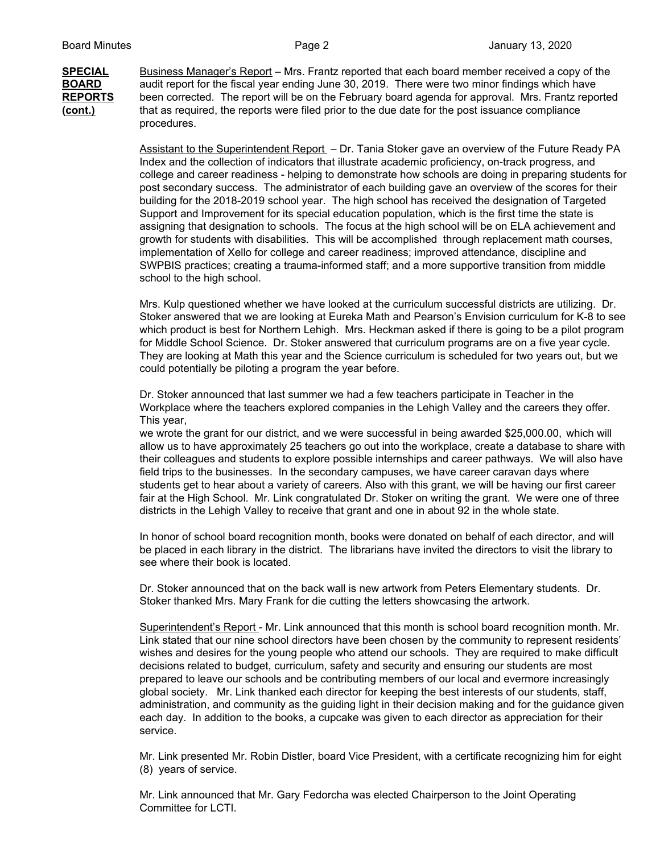**SPECIAL** Business Manager's Report – Mrs. Frantz reported that each board member received a copy of the **BOARD** audit report for the fiscal year ending June 30, 2019. There were two minor findings which have **REPORTS** been corrected. The report will be on the February board agenda for approval. Mrs. Frantz reported **(cont.)** that as required, the reports were filed prior to the due date for the post issuance compliance procedures.

> Assistant to the Superintendent Report – Dr. Tania Stoker gave an overview of the Future Ready PA Index and the collection of indicators that illustrate academic proficiency, on-track progress, and college and career readiness - helping to demonstrate how schools are doing in preparing students for post secondary success. The administrator of each building gave an overview of the scores for their building for the 2018-2019 school year. The high school has received the designation of Targeted Support and Improvement for its special education population, which is the first time the state is assigning that designation to schools. The focus at the high school will be on ELA achievement and growth for students with disabilities. This will be accomplished through replacement math courses, implementation of Xello for college and career readiness; improved attendance, discipline and SWPBIS practices; creating a trauma-informed staff; and a more supportive transition from middle school to the high school.

> Mrs. Kulp questioned whether we have looked at the curriculum successful districts are utilizing. Dr. Stoker answered that we are looking at Eureka Math and Pearson's Envision curriculum for K-8 to see which product is best for Northern Lehigh. Mrs. Heckman asked if there is going to be a pilot program for Middle School Science. Dr. Stoker answered that curriculum programs are on a five year cycle. They are looking at Math this year and the Science curriculum is scheduled for two years out, but we could potentially be piloting a program the year before.

Dr. Stoker announced that last summer we had a few teachers participate in Teacher in the Workplace where the teachers explored companies in the Lehigh Valley and the careers they offer. This year,

we wrote the grant for our district, and we were successful in being awarded \$25,000.00, which will allow us to have approximately 25 teachers go out into the workplace, create a database to share with their colleagues and students to explore possible internships and career pathways. We will also have field trips to the businesses. In the secondary campuses, we have career caravan days where students get to hear about a variety of careers. Also with this grant, we will be having our first career fair at the High School. Mr. Link congratulated Dr. Stoker on writing the grant. We were one of three districts in the Lehigh Valley to receive that grant and one in about 92 in the whole state.

In honor of school board recognition month, books were donated on behalf of each director, and will be placed in each library in the district. The librarians have invited the directors to visit the library to see where their book is located.

Dr. Stoker announced that on the back wall is new artwork from Peters Elementary students. Dr. Stoker thanked Mrs. Mary Frank for die cutting the letters showcasing the artwork.

Superintendent's Report - Mr. Link announced that this month is school board recognition month. Mr. Link stated that our nine school directors have been chosen by the community to represent residents' wishes and desires for the young people who attend our schools. They are required to make difficult decisions related to budget, curriculum, safety and security and ensuring our students are most prepared to leave our schools and be contributing members of our local and evermore increasingly global society. Mr. Link thanked each director for keeping the best interests of our students, staff, administration, and community as the guiding light in their decision making and for the guidance given each day. In addition to the books, a cupcake was given to each director as appreciation for their service.

Mr. Link presented Mr. Robin Distler, board Vice President, with a certificate recognizing him for eight (8) years of service.

Mr. Link announced that Mr. Gary Fedorcha was elected Chairperson to the Joint Operating Committee for LCTI.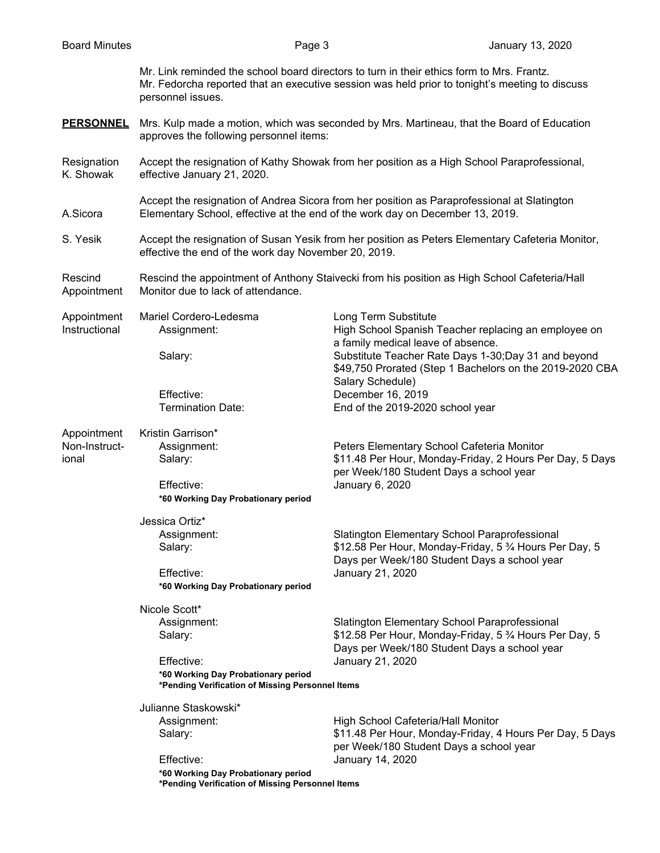Mr. Link reminded the school board directors to turn in their ethics form to Mrs. Frantz. Mr. Fedorcha reported that an executive session was held prior to tonight's meeting to discuss personnel issues.

- **PERSONNEL** Mrs. Kulp made a motion, which was seconded by Mrs. Martineau, that the Board of Education approves the following personnel items:
- Resignation Accept the resignation of Kathy Showak from her position as a High School Paraprofessional, K. Showak effective January 21, 2020.

Accept the resignation of Andrea Sicora from her position as Paraprofessional at Slatington A.Sicora Elementary School, effective at the end of the work day on December 13, 2019.

S. Yesik Accept the resignation of Susan Yesik from her position as Peters Elementary Cafeteria Monitor, effective the end of the work day November 20, 2019.

Rescind Rescind the appointment of Anthony Staivecki from his position as High School Cafeteria/Hall Appointment Monitor due to lack of attendance.

| Appointment<br>Instructional | Mariel Cordero-Ledesma<br>Assignment:                                                   | Long Term Substitute<br>High School Spanish Teacher replacing an employee on                                                                                               |  |
|------------------------------|-----------------------------------------------------------------------------------------|----------------------------------------------------------------------------------------------------------------------------------------------------------------------------|--|
|                              | Salary:                                                                                 | a family medical leave of absence.<br>Substitute Teacher Rate Days 1-30; Day 31 and beyond<br>\$49,750 Prorated (Step 1 Bachelors on the 2019-2020 CBA<br>Salary Schedule) |  |
|                              | Effective:                                                                              | December 16, 2019                                                                                                                                                          |  |
|                              | <b>Termination Date:</b>                                                                | End of the 2019-2020 school year                                                                                                                                           |  |
| Appointment                  | Kristin Garrison*                                                                       |                                                                                                                                                                            |  |
| Non-Instruct-                | Assignment:                                                                             | Peters Elementary School Cafeteria Monitor                                                                                                                                 |  |
| ional                        | Salary:                                                                                 | \$11.48 Per Hour, Monday-Friday, 2 Hours Per Day, 5 Days<br>per Week/180 Student Days a school year                                                                        |  |
|                              | Effective:                                                                              | January 6, 2020                                                                                                                                                            |  |
|                              | *60 Working Day Probationary period                                                     |                                                                                                                                                                            |  |
|                              | Jessica Ortiz*                                                                          |                                                                                                                                                                            |  |
|                              | Assignment:                                                                             | Slatington Elementary School Paraprofessional                                                                                                                              |  |
|                              | Salary:                                                                                 | \$12.58 Per Hour, Monday-Friday, 5 3⁄4 Hours Per Day, 5<br>Days per Week/180 Student Days a school year                                                                    |  |
|                              | Effective:                                                                              | January 21, 2020                                                                                                                                                           |  |
|                              | *60 Working Day Probationary period                                                     |                                                                                                                                                                            |  |
|                              | Nicole Scott*                                                                           |                                                                                                                                                                            |  |
|                              | Assignment:                                                                             | Slatington Elementary School Paraprofessional                                                                                                                              |  |
|                              | Salary:                                                                                 | \$12.58 Per Hour, Monday-Friday, 5 3⁄4 Hours Per Day, 5                                                                                                                    |  |
|                              |                                                                                         | Days per Week/180 Student Days a school year                                                                                                                               |  |
|                              | Effective:                                                                              | January 21, 2020                                                                                                                                                           |  |
|                              | *60 Working Day Probationary period<br>*Pending Verification of Missing Personnel Items |                                                                                                                                                                            |  |
|                              | Julianne Staskowski*                                                                    |                                                                                                                                                                            |  |
|                              | Assignment:                                                                             | High School Cafeteria/Hall Monitor                                                                                                                                         |  |
|                              | Salary:                                                                                 | \$11.48 Per Hour, Monday-Friday, 4 Hours Per Day, 5 Days                                                                                                                   |  |
|                              |                                                                                         | per Week/180 Student Days a school year                                                                                                                                    |  |

Effective: January 14, 2020 **\*60 Working Day Probationary period \*Pending Verification of Missing Personnel Items**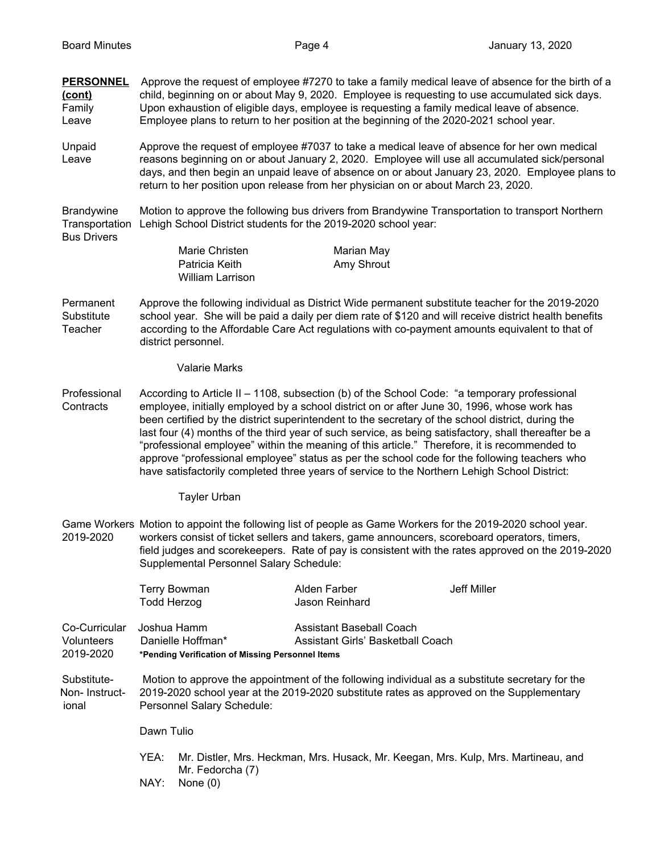**PERSONNEL** Approve the request of employee #7270 to take a family medical leave of absence for the birth of a

**(cont)** child, beginning on or about May 9, 2020. Employee is requesting to use accumulated sick days. Family Upon exhaustion of eligible days, employee is requesting a family medical leave of absence. Leave Employee plans to return to her position at the beginning of the 2020-2021 school year. Unpaid Approve the request of employee #7037 to take a medical leave of absence for her own medical Leave reasons beginning on or about January 2, 2020. Employee will use all accumulated sick/personal days, and then begin an unpaid leave of absence on or about January 23, 2020. Employee plans to return to her position upon release from her physician on or about March 23, 2020. Brandywine Motion to approve the following bus drivers from Brandywine Transportation to transport Northern Transportation Lehigh School District students for the 2019-2020 school year: Bus Drivers Marie Christen Marian May Patricia Keith **Amy Shrout** William Larrison Permanent Approve the following individual as District Wide permanent substitute teacher for the 2019-2020 Substitute school year. She will be paid a daily per diem rate of \$120 and will receive district health benefits Teacher according to the Affordable Care Act regulations with co-payment amounts equivalent to that of district personnel. Valarie Marks Professional According to Article II – 1108, subsection (b) of the School Code: "a temporary professional Contracts employee, initially employed by a school district on or after June 30, 1996, whose work has been certified by the district superintendent to the secretary of the school district, during the last four (4) months of the third year of such service, as being satisfactory, shall thereafter be a "professional employee" within the meaning of this article." Therefore, it is recommended to approve "professional employee" status as per the school code for the following teachers who have satisfactorily completed three years of service to the Northern Lehigh School District: Tayler Urban Game Workers Motion to appoint the following list of people as Game Workers for the 2019-2020 school year. 2019-2020 workers consist of ticket sellers and takers, game announcers, scoreboard operators, timers, field judges and scorekeepers. Rate of pay is consistent with the rates approved on the 2019-2020 Supplemental Personnel Salary Schedule: Terry Bowman **Alden Farber** Alden Farber Jeff Miller Todd Herzog Jason Reinhard Co-Curricular Joshua Hamm Assistant Baseball Coach Volunteers Danielle Hoffman\* Assistant Girls' Basketball Coach 2019-2020 **\*Pending Verification of Missing Personnel Items** Substitute- Motion to approve the appointment of the following individual as a substitute secretary for the Non- Instruct- 2019-2020 school year at the 2019-2020 substitute rates as approved on the Supplementary ional Personnel Salary Schedule: Dawn Tulio YEA: Mr. Distler, Mrs. Heckman, Mrs. Husack, Mr. Keegan, Mrs. Kulp, Mrs. Martineau, and Mr. Fedorcha (7) NAY: None (0)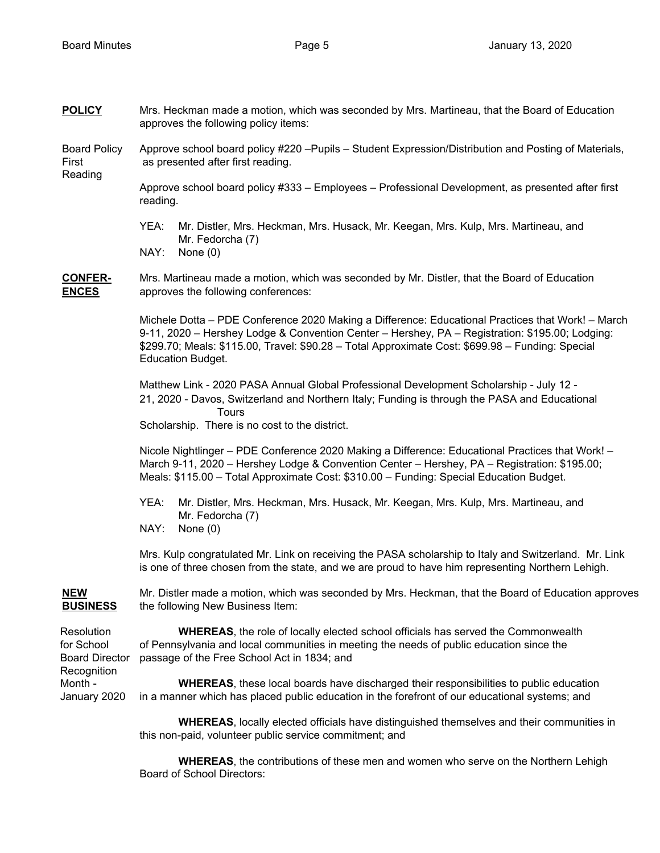| <b>POLICY</b>                                                                               | Mrs. Heckman made a motion, which was seconded by Mrs. Martineau, that the Board of Education<br>approves the following policy items:                                                                                                                                                                                                |  |
|---------------------------------------------------------------------------------------------|--------------------------------------------------------------------------------------------------------------------------------------------------------------------------------------------------------------------------------------------------------------------------------------------------------------------------------------|--|
| <b>Board Policy</b><br>First<br>Reading                                                     | Approve school board policy #220 - Pupils - Student Expression/Distribution and Posting of Materials,<br>as presented after first reading.                                                                                                                                                                                           |  |
|                                                                                             | Approve school board policy #333 - Employees - Professional Development, as presented after first<br>reading.                                                                                                                                                                                                                        |  |
|                                                                                             | YEA:<br>Mr. Distler, Mrs. Heckman, Mrs. Husack, Mr. Keegan, Mrs. Kulp, Mrs. Martineau, and<br>Mr. Fedorcha (7)<br>NAY:<br>None $(0)$                                                                                                                                                                                                 |  |
| <b>CONFER-</b><br><b>ENCES</b>                                                              | Mrs. Martineau made a motion, which was seconded by Mr. Distler, that the Board of Education<br>approves the following conferences:                                                                                                                                                                                                  |  |
|                                                                                             | Michele Dotta - PDE Conference 2020 Making a Difference: Educational Practices that Work! - March<br>9-11, 2020 - Hershey Lodge & Convention Center - Hershey, PA - Registration: \$195.00; Lodging:<br>\$299.70; Meals: \$115.00, Travel: \$90.28 - Total Approximate Cost: \$699.98 - Funding: Special<br><b>Education Budget.</b> |  |
|                                                                                             | Matthew Link - 2020 PASA Annual Global Professional Development Scholarship - July 12 -<br>21, 2020 - Davos, Switzerland and Northern Italy; Funding is through the PASA and Educational<br>Tours<br>Scholarship. There is no cost to the district.                                                                                  |  |
|                                                                                             | Nicole Nightlinger - PDE Conference 2020 Making a Difference: Educational Practices that Work! -<br>March 9-11, 2020 - Hershey Lodge & Convention Center - Hershey, PA - Registration: \$195.00;<br>Meals: \$115.00 - Total Approximate Cost: \$310.00 - Funding: Special Education Budget.                                          |  |
|                                                                                             | YEA:<br>Mr. Distler, Mrs. Heckman, Mrs. Husack, Mr. Keegan, Mrs. Kulp, Mrs. Martineau, and<br>Mr. Fedorcha (7)<br>NAY:<br>None $(0)$                                                                                                                                                                                                 |  |
|                                                                                             | Mrs. Kulp congratulated Mr. Link on receiving the PASA scholarship to Italy and Switzerland. Mr. Link<br>is one of three chosen from the state, and we are proud to have him representing Northern Lehigh.                                                                                                                           |  |
| <b>NEW</b><br><b>BUSINESS</b>                                                               | Mr. Distler made a motion, which was seconded by Mrs. Heckman, that the Board of Education approves<br>the following New Business Item:                                                                                                                                                                                              |  |
| Resolution<br>for School<br><b>Board Director</b><br>Recognition<br>Month -<br>January 2020 | <b>WHEREAS, the role of locally elected school officials has served the Commonwealth</b><br>of Pennsylvania and local communities in meeting the needs of public education since the<br>passage of the Free School Act in 1834; and                                                                                                  |  |
|                                                                                             | <b>WHEREAS</b> , these local boards have discharged their responsibilities to public education<br>in a manner which has placed public education in the forefront of our educational systems; and                                                                                                                                     |  |
|                                                                                             | <b>WHEREAS, locally elected officials have distinguished themselves and their communities in</b><br>this non-paid, volunteer public service commitment; and                                                                                                                                                                          |  |
|                                                                                             |                                                                                                                                                                                                                                                                                                                                      |  |

**WHEREAS**, the contributions of these men and women who serve on the Northern Lehigh Board of School Directors: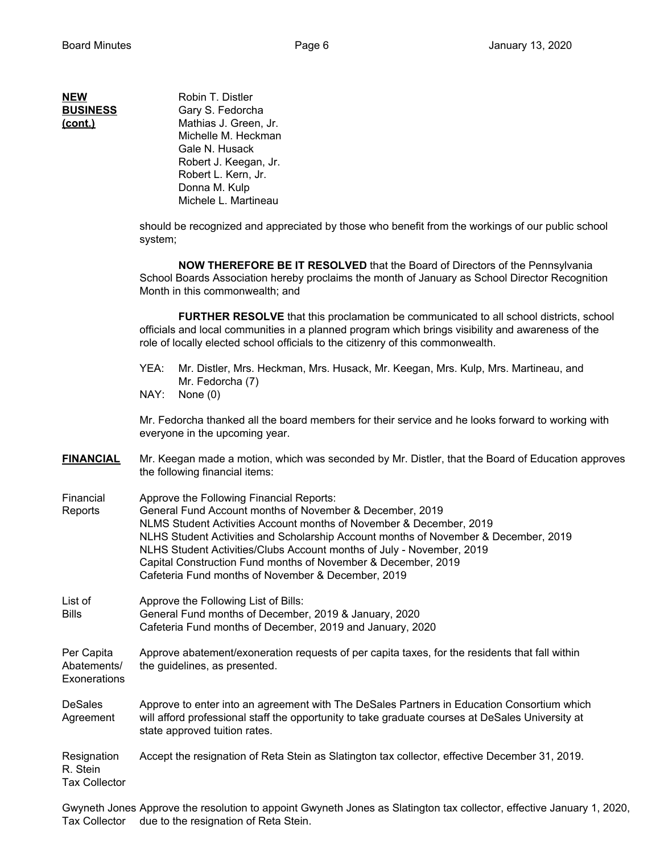| NEW             |
|-----------------|
| <b>BUSINESS</b> |
| (cont.)         |

**Robin T. Distler** Gary S. Fedorcha Mathias J. Green, Jr. Michelle M. Heckman Gale N. Husack Robert J. Keegan, Jr. Robert L. Kern, Jr. Donna M. Kulp Michele L. Martineau

should be recognized and appreciated by those who benefit from the workings of our public school system;

**NOW THEREFORE BE IT RESOLVED** that the Board of Directors of the Pennsylvania School Boards Association hereby proclaims the month of January as School Director Recognition Month in this commonwealth; and

**FURTHER RESOLVE** that this proclamation be communicated to all school districts, school officials and local communities in a planned program which brings visibility and awareness of the role of locally elected school officials to the citizenry of this commonwealth.

- YEA: Mr. Distler, Mrs. Heckman, Mrs. Husack, Mr. Keegan, Mrs. Kulp, Mrs. Martineau, and Mr. Fedorcha (7)
- NAY: None (0)

Mr. Fedorcha thanked all the board members for their service and he looks forward to working with everyone in the upcoming year.

- **FINANCIAL** Mr. Keegan made a motion, which was seconded by Mr. Distler, that the Board of Education approves the following financial items:
- Financial Approve the Following Financial Reports: Reports General Fund Account months of November & December, 2019 NLMS Student Activities Account months of November & December, 2019 NLHS Student Activities and Scholarship Account months of November & December, 2019 NLHS Student Activities/Clubs Account months of July - November, 2019 Capital Construction Fund months of November & December, 2019 Cafeteria Fund months of November & December, 2019
- List of Approve the Following List of Bills: Bills General Fund months of December, 2019 & January, 2020 Cafeteria Fund months of December, 2019 and January, 2020

Per Capita Approve abatement/exoneration requests of per capita taxes, for the residents that fall within Abatements/ the guidelines, as presented. Exonerations

DeSales Approve to enter into an agreement with The DeSales Partners in Education Consortium which Agreement will afford professional staff the opportunity to take graduate courses at DeSales University at state approved tuition rates.

Resignation Accept the resignation of Reta Stein as Slatington tax collector, effective December 31, 2019. R. Stein Tax Collector

Gwyneth Jones Approve the resolution to appoint Gwyneth Jones as Slatington tax collector, effective January 1, 2020, Tax Collector due to the resignation of Reta Stein.